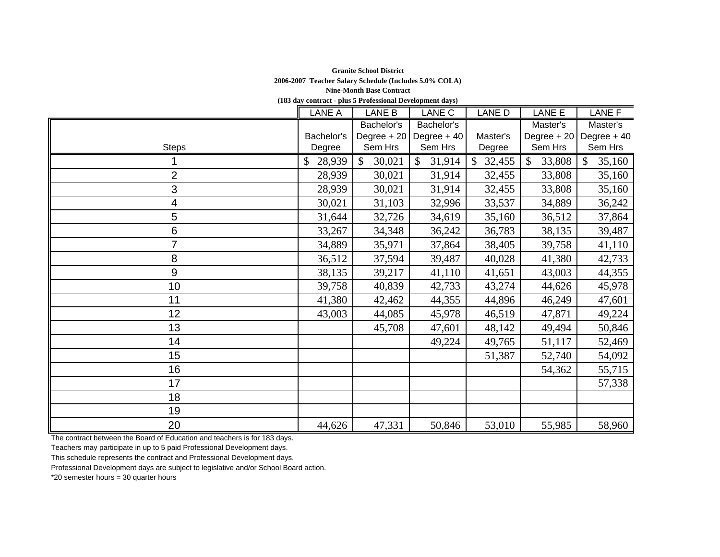## **Granite School District 2006-2007 Teacher Salary Schedule (Includes 5.0% COLA) Nine-Month Base Contract**

**(183 day contract - plus 5 Professional Development days)**

|                | LANE A     | LANE B       | LANE C                 | LANE D                 | LANE E       | LANE F                       |
|----------------|------------|--------------|------------------------|------------------------|--------------|------------------------------|
|                |            | Bachelor's   | Bachelor's             |                        | Master's     | Master's                     |
|                | Bachelor's | Degree $+20$ | Degree $+40$           | Master's               | Degree + 20  | Degree $+40$                 |
| <b>Steps</b>   | Degree     | Sem Hrs      | Sem Hrs                | Degree                 | Sem Hrs      | Sem Hrs                      |
|                | 28,939     | 30,021       | 31,914<br>$\mathbb{S}$ | $\mathbb{S}$<br>32,455 | 33,808<br>\$ | 35,160<br>$\mathbf{\hat{S}}$ |
| 2              | 28,939     | 30,021       | 31,914                 | 32,455                 | 33,808       | 35,160                       |
| 3              | 28,939     | 30,021       | 31,914                 | 32,455                 | 33,808       | 35,160                       |
| 4              | 30,021     | 31,103       | 32,996                 | 33,537                 | 34,889       | 36,242                       |
| 5              | 31,644     | 32,726       | 34,619                 | 35,160                 | 36,512       | 37,864                       |
| 6              | 33,267     | 34,348       | 36,242                 | 36,783                 | 38,135       | 39,487                       |
| $\overline{7}$ | 34,889     | 35,971       | 37,864                 | 38,405                 | 39,758       | 41,110                       |
| 8              | 36,512     | 37,594       | 39,487                 | 40,028                 | 41,380       | 42,733                       |
| 9              | 38,135     | 39,217       | 41,110                 | 41,651                 | 43,003       | 44,355                       |
| 10             | 39,758     | 40,839       | 42,733                 | 43,274                 | 44,626       | 45,978                       |
| 11             | 41,380     | 42,462       | 44,355                 | 44,896                 | 46,249       | 47,601                       |
| 12             | 43,003     | 44,085       | 45,978                 | 46,519                 | 47,871       | 49,224                       |
| 13             |            | 45,708       | 47,601                 | 48,142                 | 49,494       | 50,846                       |
| 14             |            |              | 49,224                 | 49,765                 | 51,117       | 52,469                       |
| 15             |            |              |                        | 51,387                 | 52,740       | 54,092                       |
| 16             |            |              |                        |                        | 54,362       | 55,715                       |
| 17             |            |              |                        |                        |              | 57,338                       |
| 18             |            |              |                        |                        |              |                              |
| 19             |            |              |                        |                        |              |                              |
| 20             | 44,626     | 47,331       | 50,846                 | 53,010                 | 55,985       | 58,960                       |

The contract between the Board of Education and teachers is for 183 days.

Teachers may participate in up to 5 paid Professional Development days.

This schedule represents the contract and Professional Development days.

Professional Development days are subject to legislative and/or School Board action.

\*20 semester hours = 30 quarter hours